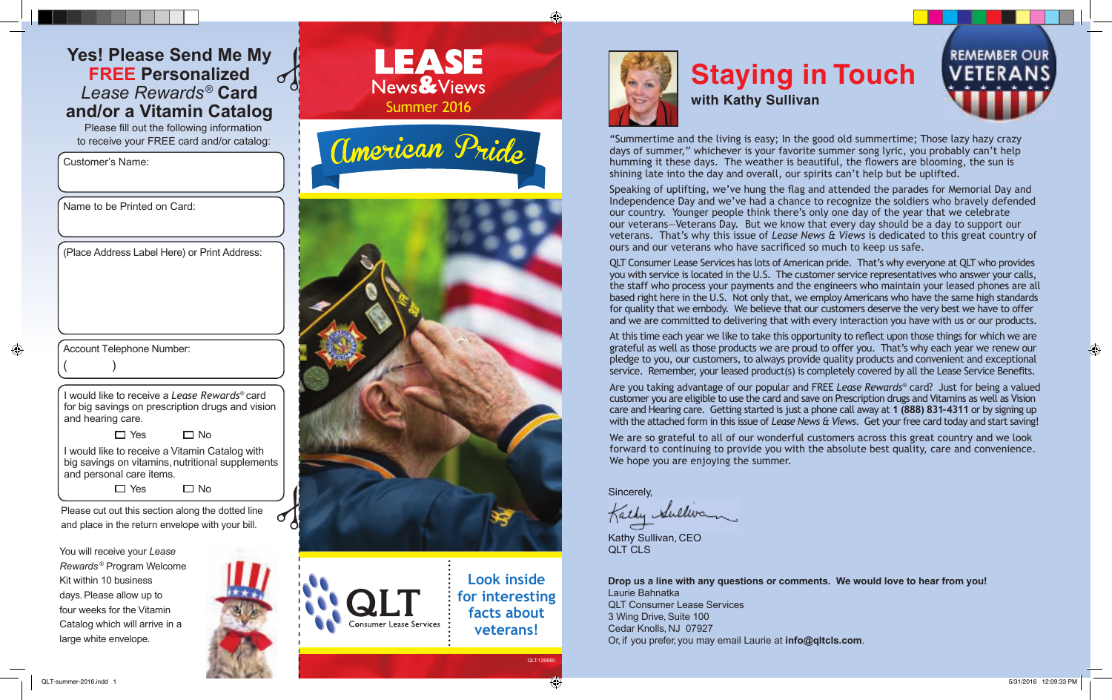## **Yes! Please Send Me My FREE Personalized** *Lease Rewards®*  **Card and/or a Vitamin Catalog**

Please fill out the following information to receive your FREE card and/or catalog:

Customer's Name:



**LEASE** 



Name to be Printed on Card:

Account Telephone Number:

 $($  )

⊕

(Place Address Label Here) or Print Address:

I would like to receive a *Lease Rewards*® card for big savings on prescription drugs and vision

and hearing care. □ Yes  $\Box$  No

I would like to receive a Vitamin Catalog with big savings on vitamins, nutritional supplements and personal care items.

> $\Box$  Yes  $\Box$  No

Please cut out this section along the dotted line and place in the return envelope with your bill.

You will receive your *Lease Rewards* ® Program Welcome Kit within 10 business days. Please allow up to four weeks for the Vitamin Catalog which will arrive in a large white envelope.



**Look inside for interesting facts about veterans!**



# **Staying in Touch with Kathy Sullivan**

"Summertime and the living is easy; In the good old summertime; Those lazy hazy crazy days of summer," whichever is your favorite summer song lyric, you probably can't help humming it these days. The weather is beautiful, the flowers are blooming, the sun is shining late into the day and overall, our spirits can't help but be uplifted.

Speaking of uplifting, we've hung the flag and attended the parades for Memorial Day and Independence Day and we've had a chance to recognize the soldiers who bravely defended our country. Younger people think there's only one day of the year that we celebrate our veterans—Veterans Day. But we know that every day should be a day to support our veterans. That's why this issue of *Lease News & Views* is dedicated to this great country of ours and our veterans who have sacrificed so much to keep us safe.

QLT Consumer Lease Services has lots of American pride. That's why everyone at QLT who provides you with service is located in the U.S. The customer service representatives who answer your calls, the staff who process your payments and the engineers who maintain your leased phones are all based right here in the U.S. Not only that, we employ Americans who have the same high standards for quality that we embody. We believe that our customers deserve the very best we have to offer and we are committed to delivering that with every interaction you have with us or our products.

At this time each year we like to take this opportunity to reflect upon those things for which we are grateful as well as those products we are proud to offer you. That's why each year we renew our pledge to you, our customers, to always provide quality products and convenient and exceptional service. Remember, your leased product(s) is completely covered by all the Lease Service Benefits.

Are you taking advantage of our popular and FREE *Lease Rewards®* card? Just for being a valued customer you are eligible to use the card and save on Prescription drugs and Vitamins as well as Vision care and Hearing care. Getting started is just a phone call away at **1 (888) 831-4311** or by signing up with the attached form in this issue of *Lease News & Views*. Get your free card today and start saving!

We are so grateful to all of our wonderful customers across this great country and we look forward to continuing to provide you with the absolute best quality, care and convenience. We hope you are enjoying the summer.

Sincerely,

Kathy Sullivan

Kathy Sullivan, CEO QLT CLS

**Drop us a line with any questions or comments. We would love to hear from you!** Laurie Bahnatka QLT Consumer Lease Services 3 Wing Drive, Suite 100 Cedar Knolls, NJ 07927 Or, if you prefer, you may email Laurie at **info@qltcls.com**.

QLT-129880

 $\bigoplus$ 

**REMEMBER OUR**